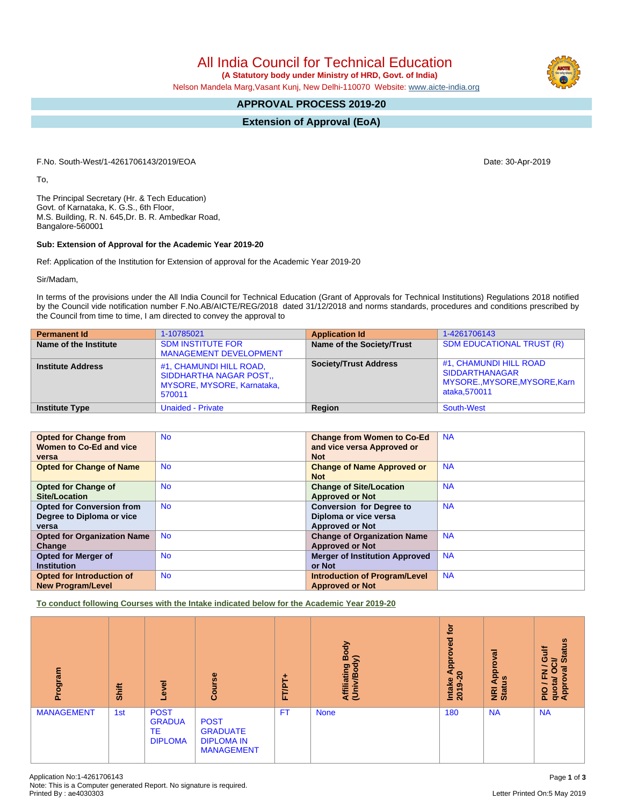All India Council for Technical Education  **(A Statutory body under Ministry of HRD, Govt. of India)**

Nelson Mandela Marg,Vasant Kunj, New Delhi-110070 Website: [www.aicte-india.org](http://www.aicte-india.org)

# **APPROVAL PROCESS 2019-20**

**Extension of Approval (EoA)**

F.No. South-West/1-4261706143/2019/EOA Date: 30-Apr-2019

To,

The Principal Secretary (Hr. & Tech Education) Govt. of Karnataka, K. G.S., 6th Floor, M.S. Building, R. N. 645,Dr. B. R. Ambedkar Road, Bangalore-560001

#### **Sub: Extension of Approval for the Academic Year 2019-20**

Ref: Application of the Institution for Extension of approval for the Academic Year 2019-20

Sir/Madam,

In terms of the provisions under the All India Council for Technical Education (Grant of Approvals for Technical Institutions) Regulations 2018 notified by the Council vide notification number F.No.AB/AICTE/REG/2018 dated 31/12/2018 and norms standards, procedures and conditions prescribed by the Council from time to time, I am directed to convey the approval to

| <b>Permanent Id</b>      | 1-10785021                                                                                      | <b>Application Id</b>        | 1-4261706143                                                                                     |
|--------------------------|-------------------------------------------------------------------------------------------------|------------------------------|--------------------------------------------------------------------------------------------------|
| Name of the Institute    | <b>SDM INSTITUTE FOR</b><br><b>MANAGEMENT DEVELOPMENT</b>                                       | Name of the Society/Trust    | <b>SDM EDUCATIONAL TRUST (R)</b>                                                                 |
| <b>Institute Address</b> | #1, CHAMUNDI HILL ROAD,<br><b>SIDDHARTHA NAGAR POST</b><br>MYSORE, MYSORE, Karnataka,<br>570011 | <b>Society/Trust Address</b> | #1, CHAMUNDI HILL ROAD<br><b>SIDDARTHANAGAR</b><br>MYSORE., MYSORE, MYSORE, Karn<br>ataka.570011 |
| Institute Type           | <b>Unaided - Private</b>                                                                        | Region                       | South-West                                                                                       |

| <b>Opted for Change from</b>       | <b>No</b> | <b>Change from Women to Co-Ed</b>     | <b>NA</b> |
|------------------------------------|-----------|---------------------------------------|-----------|
| Women to Co-Ed and vice            |           |                                       |           |
|                                    |           | and vice versa Approved or            |           |
| versa                              |           | <b>Not</b>                            |           |
| <b>Opted for Change of Name</b>    | <b>No</b> | <b>Change of Name Approved or</b>     | <b>NA</b> |
|                                    |           | <b>Not</b>                            |           |
|                                    |           |                                       |           |
| <b>Opted for Change of</b>         | <b>No</b> | <b>Change of Site/Location</b>        | <b>NA</b> |
| <b>Site/Location</b>               |           | <b>Approved or Not</b>                |           |
| <b>Opted for Conversion from</b>   | <b>No</b> | <b>Conversion for Degree to</b>       | <b>NA</b> |
| Degree to Diploma or vice          |           | Diploma or vice versa                 |           |
| versa                              |           | <b>Approved or Not</b>                |           |
| <b>Opted for Organization Name</b> | <b>No</b> | <b>Change of Organization Name</b>    | <b>NA</b> |
| Change                             |           | <b>Approved or Not</b>                |           |
| <b>Opted for Merger of</b>         | <b>No</b> | <b>Merger of Institution Approved</b> | <b>NA</b> |
| <b>Institution</b>                 |           | or Not                                |           |
| <b>Opted for Introduction of</b>   | <b>No</b> | <b>Introduction of Program/Level</b>  | <b>NA</b> |
| <b>New Program/Level</b>           |           | <b>Approved or Not</b>                |           |

**To conduct following Courses with the Intake indicated below for the Academic Year 2019-20**

| Program           | Shift | Level                                                | Course                                                                   | ۰<br>FT/PT | Body<br>$\widehat{\epsilon}$<br>Affiliating<br>(Univ/Bod) | tor<br>Approved<br>$\circ$<br>$\overline{\mathbf{N}}$<br>Intake<br>ග<br>$\overline{201}$ | ड़<br>Approv<br>3<br><b>NRI</b><br>Stat | <b>Status</b><br><b>Gulf</b><br>ಕ<br>$\overline{\phantom{0}}$<br>$\overline{5}$<br>$\circ$<br>z<br>ū.<br>quota/<br>Approv<br>$\frac{1}{2}$ |
|-------------------|-------|------------------------------------------------------|--------------------------------------------------------------------------|------------|-----------------------------------------------------------|------------------------------------------------------------------------------------------|-----------------------------------------|--------------------------------------------------------------------------------------------------------------------------------------------|
| <b>MANAGEMENT</b> | 1st   | <b>POST</b><br><b>GRADUA</b><br>TE<br><b>DIPLOMA</b> | <b>POST</b><br><b>GRADUATE</b><br><b>DIPLOMA IN</b><br><b>MANAGEMENT</b> | FT         | <b>None</b>                                               | 180                                                                                      | <b>NA</b>                               | <b>NA</b>                                                                                                                                  |

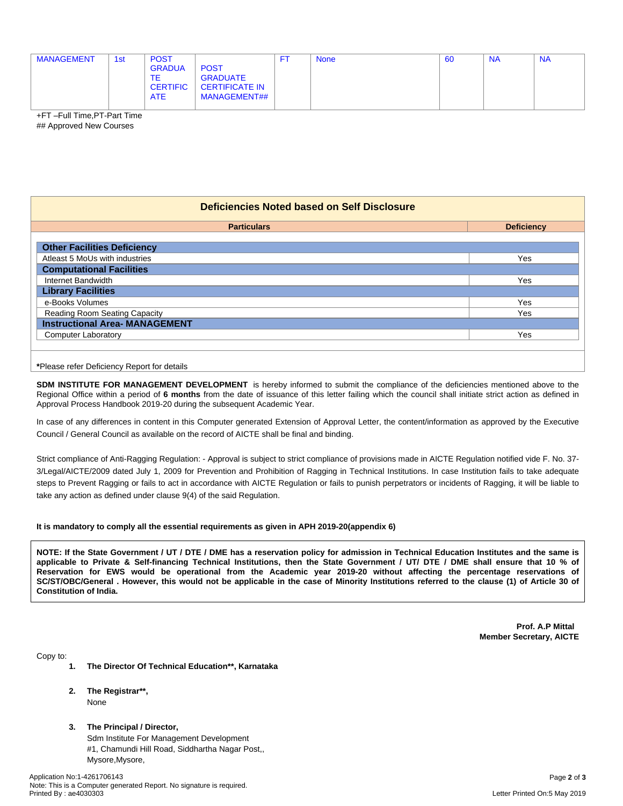| <b>MANAGEMENT</b><br>1st<br><b>TE</b><br><b>ATE</b> | <b>POST</b><br><b>GRADUA</b><br><b>POST</b><br><b>GRADUATE</b><br><b>CERTIFICATE IN</b><br><b>CERTIFIC</b><br>MANAGEMENT## |  | <b>None</b> | 60 | <b>NA</b> | <b>NA</b> |
|-----------------------------------------------------|----------------------------------------------------------------------------------------------------------------------------|--|-------------|----|-----------|-----------|
|-----------------------------------------------------|----------------------------------------------------------------------------------------------------------------------------|--|-------------|----|-----------|-----------|

+FT –Full Time,PT-Part Time

## Approved New Courses

## **Deficiencies Noted based on Self Disclosure**

| <b>Particulars</b>                    | <b>Deficiency</b> |  |  |  |  |
|---------------------------------------|-------------------|--|--|--|--|
|                                       |                   |  |  |  |  |
| <b>Other Facilities Deficiency</b>    |                   |  |  |  |  |
| Atleast 5 MoUs with industries        | Yes               |  |  |  |  |
| <b>Computational Facilities</b>       |                   |  |  |  |  |
| Internet Bandwidth                    | Yes               |  |  |  |  |
| <b>Library Facilities</b>             |                   |  |  |  |  |
| e-Books Volumes                       | Yes               |  |  |  |  |
| Reading Room Seating Capacity         | Yes               |  |  |  |  |
| <b>Instructional Area- MANAGEMENT</b> |                   |  |  |  |  |
| <b>Computer Laboratory</b>            | Yes               |  |  |  |  |
|                                       |                   |  |  |  |  |
|                                       |                   |  |  |  |  |

**\***Please refer Deficiency Report for details

**SDM INSTITUTE FOR MANAGEMENT DEVELOPMENT** is hereby informed to submit the compliance of the deficiencies mentioned above to the Regional Office within a period of **6 months** from the date of issuance of this letter failing which the council shall initiate strict action as defined in Approval Process Handbook 2019-20 during the subsequent Academic Year.

In case of any differences in content in this Computer generated Extension of Approval Letter, the content/information as approved by the Executive Council / General Council as available on the record of AICTE shall be final and binding.

Strict compliance of Anti-Ragging Regulation: - Approval is subject to strict compliance of provisions made in AICTE Regulation notified vide F. No. 37- 3/Legal/AICTE/2009 dated July 1, 2009 for Prevention and Prohibition of Ragging in Technical Institutions. In case Institution fails to take adequate steps to Prevent Ragging or fails to act in accordance with AICTE Regulation or fails to punish perpetrators or incidents of Ragging, it will be liable to take any action as defined under clause 9(4) of the said Regulation.

#### **It is mandatory to comply all the essential requirements as given in APH 2019-20(appendix 6)**

NOTE: If the State Government / UT / DTE / DME has a reservation policy for admission in Technical Education Institutes and the same is applicable to Private & Self-financing Technical Institutions, then the State Government / UT/ DTE / DME shall ensure that 10 % of Reservation for EWS would be operational from the Academic year 2019-20 without affecting the percentage reservations of SC/ST/OBC/General . However, this would not be applicable in the case of Minority Institutions referred to the clause (1) of Article 30 of **Constitution of India.**

> **Prof. A.P Mittal Member Secretary, AICTE**

Copy to:

- **1. The Director Of Technical Education\*\*, Karnataka**
- **2. The Registrar\*\*,** None
- **3. The Principal / Director,** Sdm Institute For Management Development #1, Chamundi Hill Road, Siddhartha Nagar Post,, Mysore,Mysore,